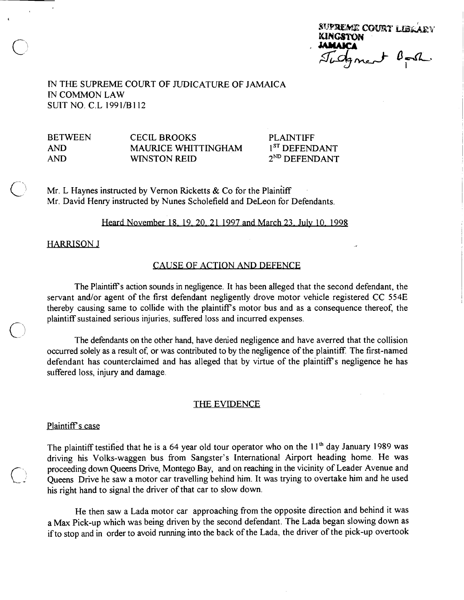| SUPREME COURT LIBRARY |          |
|-----------------------|----------|
| <b>KINGSTON</b>       |          |
| <b>JAMAICA</b>        |          |
| Tidgment              | $B = SL$ |
|                       |          |

IN THE SUPREME COURT OF JUDICATURE OF JAMAICA IN COMMON LAW SUIT NO. C.L 1991/B112

BETWEEN CECIL BROOKS PLAINTIFF<br>AND MAURICE WHITTINGHAM 1<sup>8T</sup> DEFENDANT MAURICE WHITTINGHAM  $AND$  WINSTON REID  $2^{ND}$  DEFENDANT

Mr. L Haynes instructed by Vernon Ricketts  $& Co$  for the Plaintiff Mr. David Henry instructed by Nunes Scholefield and DeLeon for Defendants.

### Heard November 18, 19, 20, 21 1997 and March 23, July 10, 1998

**HARRISON J** 

# CAUSE OF ACTION AND DEFENCE

The Plaintiff's action sounds in negligence. It has been alleged that the second defendant, the servant and/or agent of the first defendant negligently drove motor vehicle registered CC 554E thereby causing same to collide with the plaintiffs motor bus and as a consequence thereof, the plaintiff sustained serious injuries, suffered loss and incurred expenses.<br>The defendants on the other hand, have denied negligence and have averred that the collision

occurred solely as a result of, or was contributed to by the negligence of the plaintiff The first-named defendant has counterclaimed and has alleged that by virtue of the plaintiffs negligence he has suffered loss, injury and damage.

### THE EVIDENCE

# Plaintiff's case

The plaintiff testified that he is a 64 year old tour operator who on the  $11<sup>th</sup>$  day January 1989 was driving his Volks-waggen bus from Sangster's International Airport heading home. He was proceeding down Queens Drive, Montego Bay, and on reaching in the vicinity of Leader Avenue and Queens Drive he saw a motor car travelling behind him. It was trying to overtake him and he used his right hand to signal the driver of that car to slow down.

He then saw a Lada motor car approaching from the opposite direction and behind it was a Max Pick-up which was being driven by the second defendant. The Lada began slowing down as if to stop and in order to avoid running into the back of the Lada, the driver of the pick-up overtook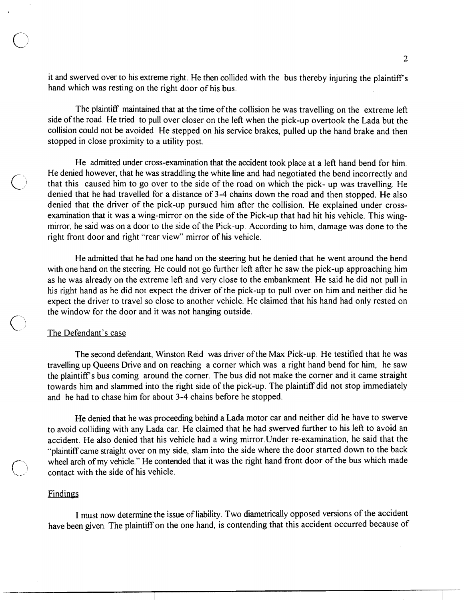it and swerved over to his extreme right. He then collided with the bus thereby injuring the plaintiff's hand which was resting on the right door of his bus.

The plaintiff maintained that at the time of the collision he was travelling on the extreme left side of the road. He tried to pull over closer on the left when the pick-up overtook the Lada but the collision could not be avoided. He stepped on his service brakes, pulled up the hand brake and then stopped in close proximity to a utility post.

He admitted under cross-examination that the accident took place at a left hand bend for him. He denied however, that he was straddling the white line and had negotiated the bend incorrectly and that this caused him to go over to the side of the road on which the pick- up was travelling. He denied that he had travelled for a distance of 3-4 chains down the road and then stopped. He also denied that the driver of the pick-up pursued him after the collision. He explained under crossexamination that it was a wing-mirror on the side of the Pick-up that had hit his vehicle. This wingmirror, he said was on a door to the side of the Pick-up. According to him, damage was done to the right front door and right "rear view" mirror of his vehicle.

He admitted that he had one hand on the steering but he denied that he went around the bend with one hand on the steering. He could not go further left after he saw the pick-up approaching him as he was already on the extreme left and very close to the embankment. He said he did not pull in his right hand as he did not expect the driver of the pick-up to pull over on him and neither did he expect the driver to travel so close to another vehicle. He claimed that his hand had only rested on the window for the door and it was not hanging outside.

### The Defendant's case

The second defendant, Winston Reid was driver of the Max Pick-up. He testified that he was travelling up Queens Drive and on reaching a corner which was a right hand bend for him, he saw the plaintiff's bus coming around the corner. The bus did not make the corner and it came straight towards him and slammed into the right side of the pick-up. The plaintiff did not stop immediately and he had to chase him for about 3-4 chains before he stopped.

He denied that he was proceeding behind a Lada motor car and neither did he have to swerve to avoid colliding with any Lada car. He claimed that he had swerved further to his left to avoid an accident. He also denied that his vehicle had a wing mirror. Under re-examination, he said that the "plaintiff came straight over on my side, slam into the side where the door started down to the back wheel arch of my vehicle." He contended that it was the right hand front door of the bus which made contact with the side of his vehicle.

### **Findings**

I must now determine the issue of liability. Two diametrically opposed versions of the accident have been given. The plaintiff on the one hand, is contending that this accident occurred because of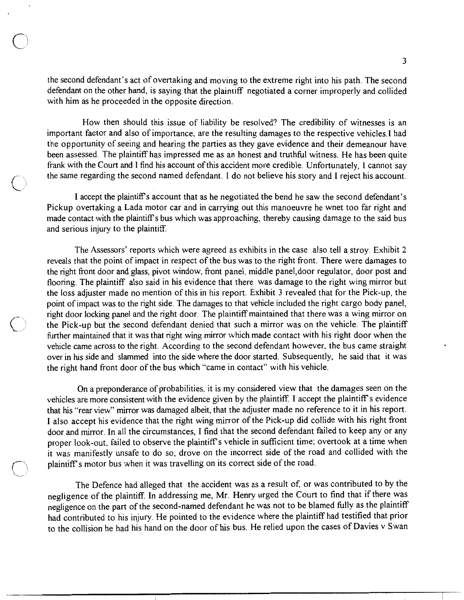the second defendant's act of overtaking and moving to the extreme right into his path. The second defendant on the other hand, is saying that the plaintiff negotiated a corner improperly and collided with him as he proceeded in the opposite direction.

How then should this issue of liability be resolved? The credibility of witnesses is an important factor and also of importance, are the resulting damages to the respective vehicles. I had the opportunity of seeing and hearing the parties as they gave evidence and their demeanour have been assessed. The plaintiff has impressed me as an honest and truthful witness. He has been quite frank with the Court and I find his account of this accident more credible. Unfortunately, I cannot say the same regarding the second named defendant. I do not believe his story and I reject his account.

I accept the plaintiff's account that as he negotiated the bend he saw the second defendant's Pickup overtaking a Lada motor car and in carrying out this manoeuvre he wnet too far right and made contact with the plaintiff's bus which was approaching, thereby causing damage to the said bus and serious injury to the plaintiff.

The Assessors' reports which were agreed as exhibits in the case also tell a stroy. Exhibit 2 reveals that the point of impact in respect of the bus was to the right front. There were damages to the right front door and glass, pivot window, front panel, middle panel, door regulator, door post and flooring. The plaintiff also said in his evidence that there was damage to the right wing mirror but the loss adjuster made no mention of this in his report. Exhibit 3 revealed that for the Pick-up, the point of impact was to the right side. The damages to that vehicle included the right cargo body panel, right door locking panel and the right door. The plaintiff maintained that there was a wing mirror on the Pick-up but the second defendant denied that such a mirror was on the vehicle. The plaintiff further maintained that it was that right wing mirror which made contact with his right door when the vehicle came across to the right. According to the second defendant however, the bus came straight over in his side and slammed into the side where the door started. Subsequently, he said that it was the right hand front door of the bus which "came in contact" with his vehicle.

On a preponderance of probabilities, it is my considered view that the damages seen on the vehicles are more consistent with the evidence given by the plaintiff. I accept the plaintiff's evidence that his "rear view" mirror was damaged albeit, that the adjuster made no reference to it in his report. I also accept his evidence that the right wing mirror of the Pick-up did collide with his right front door and mirror. In all the circumstances, I find that the second defendant failed to keep any or any proper look-out, failed to observe the plaintiff's vehicle in sufficient time; overtook at a time when it was manifestly unsafe to do so; drove on the incorrect side of the road and collided with the plaintiff's motor bus when it was travelling on its correct side of the road.

The Defence had alleged that the accident was as a result of, or was contributed to by the negligence of the plaintiff. In addressing me, Mr. Henry urged the Court to find that if there was negligence on the part of the second-named defendant he was not to be blamed fully as the plaintiff had contributed to his injury. He pointed to the evidence where the plaintiff had testified that prior to the collision he had his hand on the door of his bus. He relied upon the cases of Davies v Swan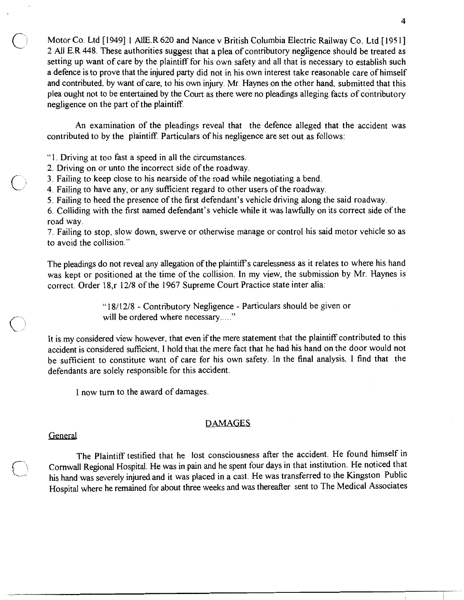Motor Co. Ltd [1949] 1 AllE.R 620 and Nance v British Columbia Electric Railway Co. Ltd [1951] 2 All E.R 448. These authorities suggest that a plea of contributory negligence should be treated as setting up want of care by the plaintiff for his own safety and all that is necessary to establish such a defence is to prove that the injured party did not in his own interest take reasonable care of himself and contributed, by want of care, to his own injury. Mr. Haynes on the other hand, submitted that this plea ought not to be entertained by the Court as there were no pleadings alleging facts of contributory negligence on the part of the plaintiff.

An examination of the pleadings reveal that the defence alleged that the accident was contributed to by the plaintiff. Particulars of his negligence are set out as follows:

- "1. Driving at too fast a speed in all the circumstances.
- 2. Driving on or unto the incorrect side of the roadway.
- 3. Failing to keep close to his nearside of the road while negotiating a bend.
- 4. Failing to have any, or any sufficient regard to other users of the roadway.
- 5. Failing to heed the presence of the first defendant's vehicle driving along the said roadway.

6. Colliding with the first named defendant's vehicle while it was lawfully on its correct side of the road way.

7. Failing to stop, slow down, swerve or otherwise manage or control his said motor vehicle so as to avoid the collision."

The pleadings do not reveal any allegation of the plaintiff's carelessness as it relates to where his hand was kept or positioned at the time of the collision. In my view, the submission by Mr. Haynes is correct. Order 18, r 12/8 of the 1967 Supreme Court Practice state inter alia:

> "18/12/8 - Contributory Negligence - Particulars should be given or will be ordered where necessary....."

It is my considered view however, that even if the mere statement that the plaintiff contributed to this accident is considered sufficient. I hold that the mere fact that he had his hand on the door would not be sufficient to constitute want of care for his own safety. In the final analysis, I find that the defendants are solely responsible for this accident.

I now turn to the award of damages.

# **DAMAGES**

# General

The Plaintiff testified that he lost consciousness after the accident. He found himself in Cornwall Regional Hospital. He was in pain and he spent four days in that institution. He noticed that his hand was severely injured and it was placed in a cast. He was transferred to the Kingston Public Hospital where he remained for about three weeks and was thereafter sent to The Medical Associates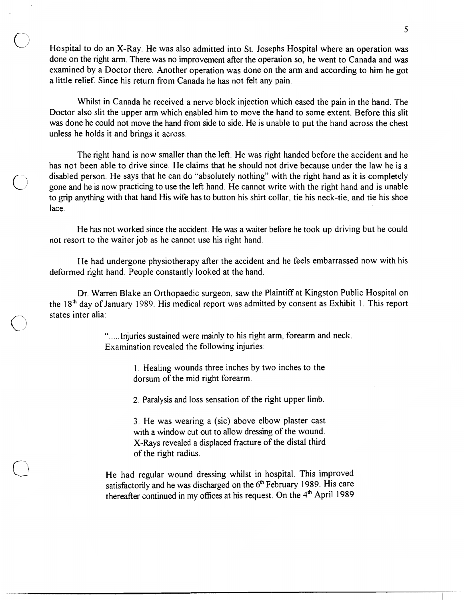Hospital to do an X-Ray. He was also admitted into St. Josephs Hospital where an operation was done on the right arm. There was no improvement after the operation so, he went to Canada and was examined by a Doctor there. Another operation was done on the arm and according to him he got a little relief. Since his return from Canada he has not felt any pain.

Whilst in Canada he received a nerve block injection which eased the pain in the hand. The Doctor also slit the upper arm which enabled him to move the hand to some extent. Before this slit was done he could not move the hand from side to side. He is unable to put the hand across the chest unless he holds it and brings it across.

The right hand is now smaller than the left. He was right handed before the accident and he has not been able to drive since. He claims that he should not drive because under the law he is a disabled person. He says that he can do "absolutely nothing" with the right hand as it is completely gone and he is now practicing to use the left hand. He cannot write with the right hand and is unable to grip anything with that hand His wife has to button his shirt collar, tie his neck-tie, and tie his shoe lace.

He has not worked since the accident. He was a waiter before he took up driving but he could not resort to the waiter job as he cannot use his right hand.

He had undergone physiotherapy after the accident and he feels embarrassed now with his deformed right hand. People constantly looked at the hand.

Dr. Warren Blake an Orthopaedic surgeon, saw the Plaintiff at Kingston Public Hospital on the 18<sup>th</sup> day of January 1989. His medical report was admitted by consent as Exhibit 1. This report states inter alia:

> ".....Injuries sustained were mainly to his right arm, forearm and neck. Examination revealed the following injuries:

> > 1. Healing wounds three inches by two inches to the dorsum of the mid right forearm.

> > 2. Paralysis and loss sensation of the right upper limb.

3. He was wearing a (sic) above elbow plaster cast with a window cut out to allow dressing of the wound. X-Rays revealed a displaced fracture of the distal third of the right radius.

He had regular wound dressing whilst in hospital. This improved satisfactorily and he was discharged on the 6<sup>th</sup> February 1989. His care thereafter continued in my offices at his request. On the 4<sup>th</sup> April 1989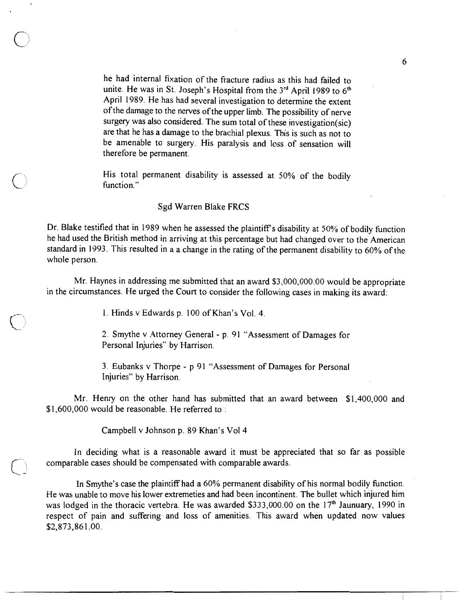he had internal fixation of the fracture radius as this had failed to unite. He was in St. Joseph's Hospital from the 3rd April 1989 to 6th April 1989. He has had several investigation to determine the extent of the damage to the nerves of the upper limb. The possibility of nerve surgery was also considered. The sum total of these investigation(sic) are that he has a damage to the brachial plexus. This is such as not to be amenable to surgery. His paralysis and loss of sensation will therefore be permanent.

His total permanent disability is assessed at 50% of the bodily function."

### Sgd Warren Blake FRCS

Dr. Blake testified that in 1989 when he assessed the plaintiff's disability at 50% of bodily function he had used the British method in arriving at this percentage but had changed over to the American standard in 1993. This resulted in a a change in the rating of the permanent disability to 60% of the whole person.

Mr. Haynes in addressing me submitted that an award \$3,000,000.00 would be appropriate in the circumstances. He urged the Court to consider the following cases in making its award:

1. Hinds v Edwards p. 100 of Khan's Vol. 4.

2. Smythe v Attorney General - p. 91 "Assessment of Damages for Personal Injuries" by Harrison.

3. Eubanks v Thorpe - p 91 "Assessment of Damages for Personal Injuries" by Harrison.

Mr. Henry on the other hand has submitted that an award between \$1,400,000 and \$1,600,000 would be reasonable. He referred to:

Campbell v Johnson p. 89 Khan's Vol 4

In deciding what is a reasonable award it must be appreciated that so far as possible comparable cases should be compensated with comparable awards.

In Smythe's case the plaintiff had a 60% permanent disability of his normal bodily function. He was unable to move his lower extremeties and had been incontinent. The bullet which injured him was lodged in the thoracic vertebra. He was awarded \$333,000.00 on the 17<sup>th</sup> Jaunuary, 1990 in respect of pain and suffering and loss of amenities. This award when updated now values \$2,873,861.00.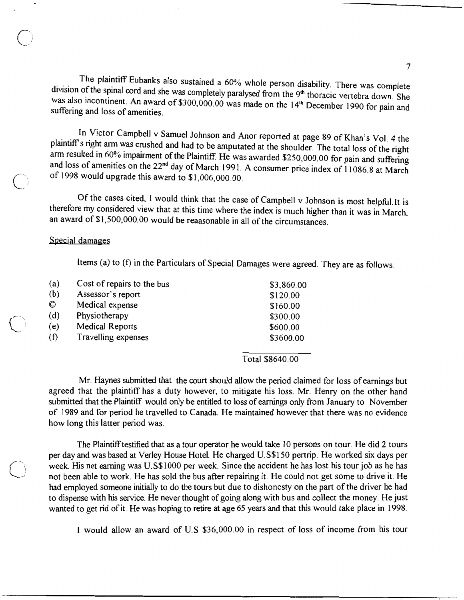The plaintiff Eubanks also sustained a 60% whole person disability. There was complete division of the spinal cord and she was completely paralysed from the 9th thoracic vertebra down. She was also incontinent. An award of \$300,000.00 was made on the 14<sup>th</sup> December 1990 for pain and suffering and loss of amenities.

In Victor Campbell v Samuel Johnson and Anor reported at page 89 of Khan's Vol. 4 the plaintiff's right arm was crushed and had to be amputated at the shoulder. The total loss of the right arm resulted in 60% impairment of the Plaintiff. He was awarded \$250,000.00 for pain and suffering and loss of amenities on the 22<sup>nd</sup> day of March 1991. A consumer price index of 11086.8 at March of 1998 would upgrade this award to \$1,006,000.00.

Of the cases cited, I would think that the case of Campbell v Johnson is most helpful. It is therefore my considered view that at this time where the index is much higher than it was in March, an award of \$1,500,000.00 would be reaasonable in all of the circumstances.

### Special damages

Items (a) to (f) in the Particulars of Special Damages were agreed. They are as follows:

| (a)            | Cost of repairs to the bus | \$3,860.00 |
|----------------|----------------------------|------------|
| (b)            | Assessor's report          | \$120.00   |
| $\circledcirc$ | Medical expense            | \$160.00   |
| (d)            | Physiotherapy              | \$300.00   |
| (e)            | <b>Medical Reports</b>     | \$600.00   |
| (f)            | Travelling expenses        | \$3600.00  |
|                |                            |            |

Total \$8640.00

Mr. Haynes submitted that the court should allow the period claimed for loss of earnings but agreed that the plaintiff has a duty however, to mitigate his loss. Mr. Henry on the other hand submitted that the Plaintiff would only be entitled to loss of earnings only from January to November of 1989 and for period he travelled to Canada. He maintained however that there was no evidence how long this latter period was.

The Plaintiff testified that as a tour operator he would take 10 persons on tour. He did 2 tours per day and was based at Verley House Hotel. He charged U.S\$150 pertrip. He worked six days per week. His net earning was U.S\$1000 per week. Since the accident he has lost his tour job as he has not been able to work. He has sold the bus after repairing it. He could not get some to drive it. He had employed someone initially to do the tours but due to dishonesty on the part of the driver he had to dispense with his service. He never thought of going along with bus and collect the money. He just wanted to get rid of it. He was hoping to retire at age 65 years and that this would take place in 1998.

I would allow an award of U.S \$36,000.00 in respect of loss of income from his tour

 $\overline{7}$